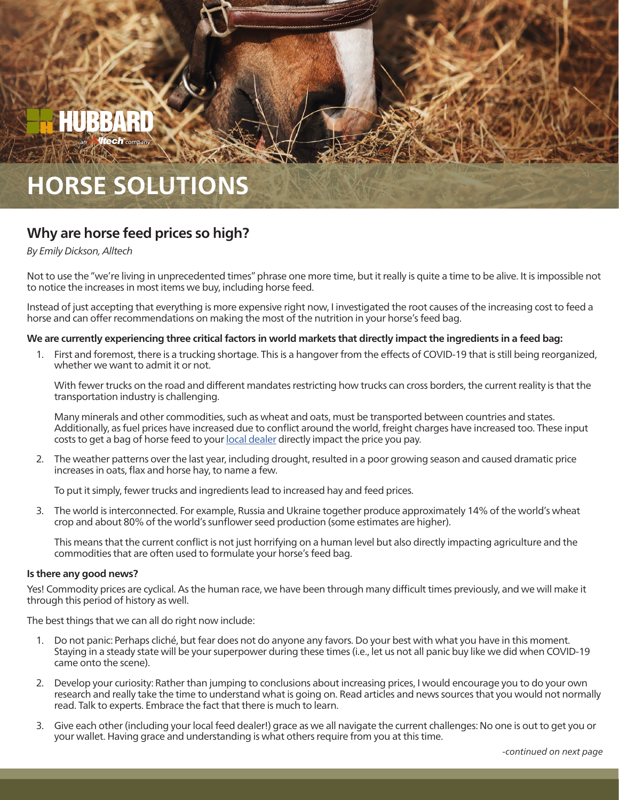# FIURRAF

## **HORSE SOLUTIONS**

### **Why are horse feed prices so high?**

#### *By Emily Dickson, Alltec[h](mailto:swineteam%40hubbardfeeds.com?subject=)*

Not to use the "we're living in unprecedented times" phrase one more time, but it really is quite a time to be alive. It is impossible not to notice the increases in most items we buy, including horse feed.

Instead of just accepting that everything is more expensive right now, I investigated the root causes of the increasing cost to feed a horse and can offer recommendations on making the most of the nutrition in your horse's feed bag.

#### **We are currently experiencing three critical factors in world markets that directly impact the ingredients in a feed bag:**

1. First and foremost, there is a trucking shortage. This is a hangover from the effects of COVID-19 that is still being reorganized, whether we want to admit it or not.

With fewer trucks on the road and different mandates restricting how trucks can cross borders, the current reality is that the transportation industry is challenging.

Many minerals and other commodities, such as wheat and oats, must be transported between countries and states. Additionally, as fuel prices have increased due to conflict around the world, freight charges have increased too. These input costs to get a bag of horse feed to your [local dealer](https://www.hubbardfeeds.com/dealer-locator) directly impact the price you pay.

2. The weather patterns over the last year, including drought, resulted in a poor growing season and caused dramatic price increases in oats, flax and horse hay, to name a few.

To put it simply, fewer trucks and ingredients lead to increased hay and feed prices.

3. The world is interconnected. For example, Russia and Ukraine together produce approximately 14% of the world's wheat crop and about 80% of the world's sunflower seed production (some estimates are higher).

This means that the current conflict is not just horrifying on a human level but also directly impacting agriculture and the commodities that are often used to formulate your horse's feed bag.

#### **Is there any good news?**

Yes! Commodity prices are cyclical. As the human race, we have been through many difficult times previously, and we will make it through this period of history as well.

The best things that we can all do right now include:

- 1. Do not panic: Perhaps cliché, but fear does not do anyone any favors. Do your best with what you have in this moment. Staying in a steady state will be your superpower during these times (i.e., let us not all panic buy like we did when COVID-19 came onto the scene).
- 2. Develop your curiosity: Rather than jumping to conclusions about increasing prices, I would encourage you to do your own research and really take the time to understand what is going on. Read articles and news sources that you would not normally read. Talk to experts. Embrace the fact that there is much to learn.
- 3. Give each other (including your local feed dealer!) grace as we all navigate the current challenges: No one is out to get you or your wallet. Having grace and understanding is what others require from you at this time.